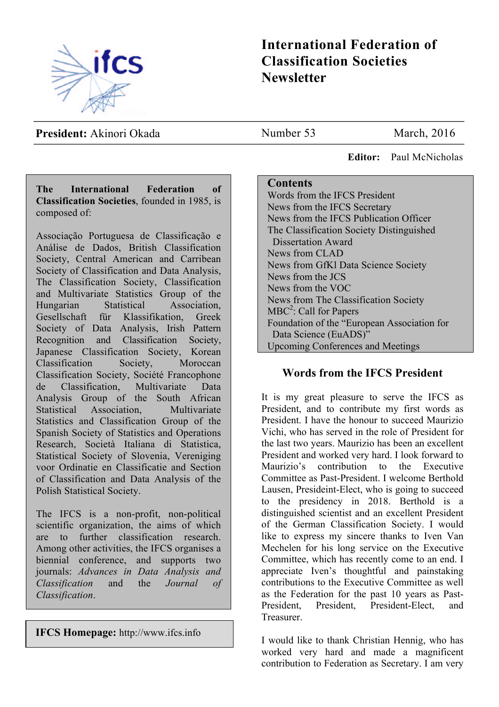

# **International Federation of Classification Societies Newsletter**

**President:** Akinori Okada

Number 53 March, 2016

 **Editor:** Paul McNicholas

### **The International Federation of Classification Societies**, founded in 1985, is composed of:

Associação Portuguesa de Classificação e Análise de Dados, British Classification Society, Central American and Carribean Society of Classification and Data Analysis, The Classification Society, Classification and Multivariate Statistics Group of the Hungarian Statistical Association, Gesellschaft für Klassifikation, Greek Society of Data Analysis, Irish Pattern Recognition and Classification Society, Japanese Classification Society, Korean Classification Society, Moroccan Classification Society, Société Francophone de Classification, Multivariate Data Analysis Group of the South African Statistical Association, Multivariate Statistics and Classification Group of the Spanish Society of Statistics and Operations Research, Società Italiana di Statistica, Statistical Society of Slovenia, Vereniging voor Ordinatie en Classificatie and Section of Classification and Data Analysis of the Polish Statistical Society.

The IFCS is a non-profit, non-political scientific organization, the aims of which are to further classification research. Among other activities, the IFCS organises a biennial conference, and supports two journals: *Advances in Data Analysis and Classification* and the *Journal of Classification*.

**IFCS Homepage:** http://www.ifcs.info

### **Contents**

Words from the IFCS President News from the IFCS Secretary News from the IFCS Publication Officer The Classification Society Distinguished Dissertation Award News from CLAD News from GfKl Data Science Society News from the JCS News from the VOC News from The Classification Society  $MBC<sup>2</sup>$ : Call for Papers Foundation of the "European Association for Data Science (EuADS)" Upcoming Conferences and Meetings

## **Words from the IFCS President**

It is my great pleasure to serve the IFCS as President, and to contribute my first words as President. I have the honour to succeed Maurizio Vichi, who has served in the role of President for the last two years. Maurizio has been an excellent President and worked very hard. I look forward to Maurizio's contribution to the Executive Committee as Past-President. I welcome Berthold Lausen, Presideint-Elect, who is going to succeed to the presidency in 2018. Berthold is a distinguished scientist and an excellent President of the German Classification Society. I would like to express my sincere thanks to Iven Van Mechelen for his long service on the Executive Committee, which has recently come to an end. I appreciate Iven's thoughtful and painstaking contributions to the Executive Committee as well as the Federation for the past 10 years as Past-President, President, President-Elect, and Treasurer.

I would like to thank Christian Hennig, who has worked very hard and made a magnificent contribution to Federation as Secretary. I am very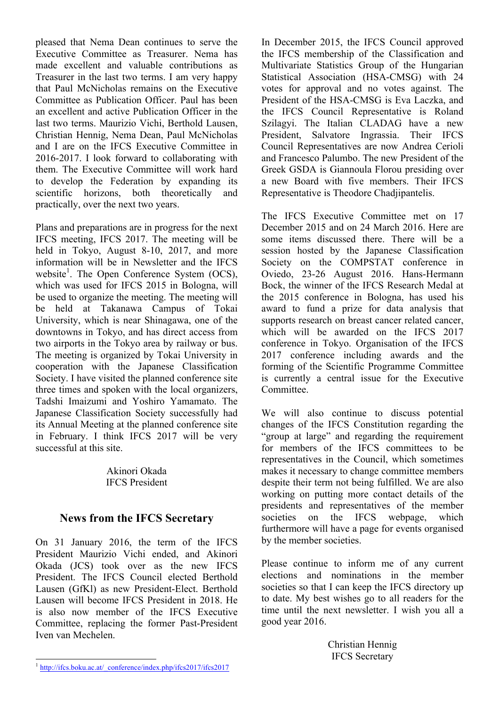pleased that Nema Dean continues to serve the Executive Committee as Treasurer. Nema has made excellent and valuable contributions as Treasurer in the last two terms. I am very happy that Paul McNicholas remains on the Executive Committee as Publication Officer. Paul has been an excellent and active Publication Officer in the last two terms. Maurizio Vichi, Berthold Lausen, Christian Hennig, Nema Dean, Paul McNicholas and I are on the IFCS Executive Committee in 2016-2017. I look forward to collaborating with them. The Executive Committee will work hard to develop the Federation by expanding its scientific horizons, both theoretically and practically, over the next two years.

Plans and preparations are in progress for the next IFCS meeting, IFCS 2017. The meeting will be held in Tokyo, August 8-10, 2017, and more information will be in Newsletter and the IFCS website<sup>1</sup>. The Open Conference System (OCS), which was used for IFCS 2015 in Bologna, will be used to organize the meeting. The meeting will be held at Takanawa Campus of Tokai University, which is near Shinagawa, one of the downtowns in Tokyo, and has direct access from two airports in the Tokyo area by railway or bus. The meeting is organized by Tokai University in cooperation with the Japanese Classification Society. I have visited the planned conference site three times and spoken with the local organizers, Tadshi Imaizumi and Yoshiro Yamamato. The Japanese Classification Society successfully had its Annual Meeting at the planned conference site in February. I think IFCS 2017 will be very successful at this site.

> Akinori Okada IFCS President

## **News from the IFCS Secretary**

On 31 January 2016, the term of the IFCS President Maurizio Vichi ended, and Akinori Okada (JCS) took over as the new IFCS President. The IFCS Council elected Berthold Lausen (GfKl) as new President-Elect. Berthold Lausen will become IFCS President in 2018. He is also now member of the IFCS Executive Committee, replacing the former Past-President Iven van Mechelen.

In December 2015, the IFCS Council approved the IFCS membership of the Classification and Multivariate Statistics Group of the Hungarian Statistical Association (HSA-CMSG) with 24 votes for approval and no votes against. The President of the HSA-CMSG is Eva Laczka, and the IFCS Council Representative is Roland Szilagyi. The Italian CLADAG have a new President, Salvatore Ingrassia. Their IFCS Council Representatives are now Andrea Cerioli and Francesco Palumbo. The new President of the Greek GSDA is Giannoula Florou presiding over a new Board with five members. Their IFCS Representative is Theodore Chadjipantelis.

The IFCS Executive Committee met on 17 December 2015 and on 24 March 2016. Here are some items discussed there. There will be a session hosted by the Japanese Classification Society on the COMPSTAT conference in Oviedo, 23-26 August 2016. Hans-Hermann Bock, the winner of the IFCS Research Medal at the 2015 conference in Bologna, has used his award to fund a prize for data analysis that supports research on breast cancer related cancer, which will be awarded on the IFCS 2017 conference in Tokyo. Organisation of the IFCS 2017 conference including awards and the forming of the Scientific Programme Committee is currently a central issue for the Executive **Committee** 

We will also continue to discuss potential changes of the IFCS Constitution regarding the "group at large" and regarding the requirement for members of the IFCS committees to be representatives in the Council, which sometimes makes it necessary to change committee members despite their term not being fulfilled. We are also working on putting more contact details of the presidents and representatives of the member societies on the IFCS webpage, which furthermore will have a page for events organised by the member societies.

Please continue to inform me of any current elections and nominations in the member societies so that I can keep the IFCS directory up to date. My best wishes go to all readers for the time until the next newsletter. I wish you all a good year 2016.

> Christian Hennig IFCS Secretary

<sup>&</sup>lt;sup>1</sup> http://ifcs.boku.ac.at/\_conference/index.php/ifcs2017/ifcs2017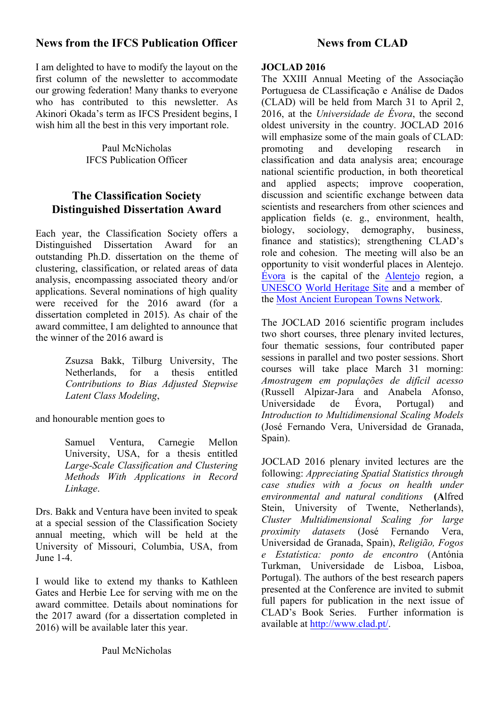# **News from the IFCS Publication Officer**

I am delighted to have to modify the layout on the first column of the newsletter to accommodate our growing federation! Many thanks to everyone who has contributed to this newsletter. As Akinori Okada's term as IFCS President begins, I wish him all the best in this very important role.

> Paul McNicholas IFCS Publication Officer

# **The Classification Society Distinguished Dissertation Award**

Each year, the Classification Society offers a Distinguished Dissertation Award for an outstanding Ph.D. dissertation on the theme of clustering, classification, or related areas of data analysis, encompassing associated theory and/or applications. Several nominations of high quality were received for the 2016 award (for a dissertation completed in 2015). As chair of the award committee, I am delighted to announce that the winner of the 2016 award is

> Zsuzsa Bakk, Tilburg University, The Netherlands, for a thesis entitled *Contributions to Bias Adjusted Stepwise Latent Class Modeling*,

and honourable mention goes to

Samuel Ventura, Carnegie Mellon University, USA, for a thesis entitled *Large-Scale Classification and Clustering Methods With Applications in Record Linkage*.

Drs. Bakk and Ventura have been invited to speak at a special session of the Classification Society annual meeting, which will be held at the University of Missouri, Columbia, USA, from June 1-4.

I would like to extend my thanks to Kathleen Gates and Herbie Lee for serving with me on the award committee. Details about nominations for the 2017 award (for a dissertation completed in 2016) will be available later this year.

# **News from CLAD**

### **JOCLAD 2016**

The XXIII Annual Meeting of the Associação Portuguesa de CLassificação e Análise de Dados (CLAD) will be held from March 31 to April 2, 2016, at the *Universidade de Évora*, the second oldest university in the country. JOCLAD 2016 will emphasize some of the main goals of CLAD: promoting and developing research classification and data analysis area; encourage national scientific production, in both theoretical and applied aspects; improve cooperation, discussion and scientific exchange between data scientists and researchers from other sciences and application fields (e. g., environment, health, biology, sociology, demography, business, finance and statistics); strengthening CLAD's role and cohesion.The meeting will also be an opportunity to visit wonderful places in Alentejo. Évora is the capital of the Alentejo region, a UNESCO World Heritage Site and a member of the Most Ancient European Towns Network.

The JOCLAD 2016 scientific program includes two short courses, three plenary invited lectures, four thematic sessions, four contributed paper sessions in parallel and two poster sessions. Short courses will take place March 31 morning: *Amostragem em populações de difícil acesso* (Russell Alpizar-Jara and Anabela Afonso, Universidade de Évora, Portugal) and *Introduction to Multidimensional Scaling Models* (José Fernando Vera, Universidad de Granada, Spain).

JOCLAD 2016 plenary invited lectures are the following: *Appreciating Spatial Statistics through case studies with a focus on health under environmental and natural conditions* **(A**lfred Stein, University of Twente, Netherlands), *Cluster Multidimensional Scaling for large proximity datasets* (José Fernando Vera, Universidad de Granada, Spain), *Religião, Fogos e Estatística: ponto de encontro* (Antónia Turkman, Universidade de Lisboa, Lisboa, Portugal). The authors of the best research papers presented at the Conference are invited to submit full papers for publication in the next issue of CLAD's Book Series. Further information is available at http://www.clad.pt/.

Paul McNicholas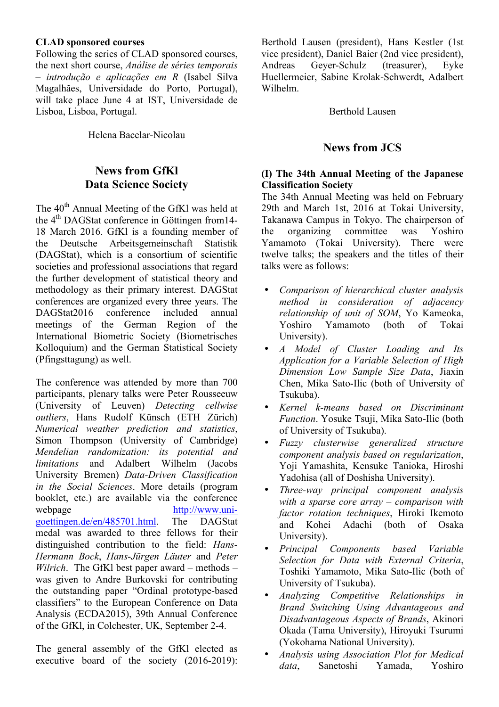#### **CLAD sponsored courses**

Following the series of CLAD sponsored courses, the next short course, *Análise de séries temporais – introdução e aplicações em R* (Isabel Silva Magalhães, Universidade do Porto, Portugal), will take place June 4 at IST, Universidade de Lisboa, Lisboa, Portugal.

Helena Bacelar-Nicolau

## **News from GfKl Data Science Society**

The 40<sup>th</sup> Annual Meeting of the GfKl was held at the  $4<sup>th</sup>$  DAGStat conference in Göttingen from 14-18 March 2016. GfKl is a founding member of the Deutsche Arbeitsgemeinschaft Statistik (DAGStat), which is a consortium of scientific societies and professional associations that regard the further development of statistical theory and methodology as their primary interest. DAGStat conferences are organized every three years. The DAGStat2016 conference included annual meetings of the German Region of the International Biometric Society (Biometrisches Kolloquium) and the German Statistical Society (Pfingsttagung) as well.

The conference was attended by more than 700 participants, plenary talks were Peter Rousseeuw (University of Leuven) *Detecting cellwise outliers*, Hans Rudolf Künsch (ETH Zürich) *Numerical weather prediction and statistics*, Simon Thompson (University of Cambridge) *Mendelian randomization: its potential and limitations* and Adalbert Wilhelm (Jacobs University Bremen) *Data-Driven Classification in the Social Sciences*. More details (program booklet, etc.) are available via the conference webpage http://www.unigoettingen.de/en/485701.html The DAGStat medal was awarded to three fellows for their distinguished contribution to the field: *Hans-Hermann Bock*, *Hans-Jürgen Läuter* and *Peter Wilrich*. The GfKl best paper award – methods – was given to Andre Burkovski for contributing the outstanding paper "Ordinal prototype-based classifiers" to the European Conference on Data Analysis (ECDA2015), 39th Annual Conference of the GfKl, in Colchester, UK, September 2-4.

The general assembly of the GfKl elected as executive board of the society (2016-2019): Berthold Lausen (president), Hans Kestler (1st vice president), Daniel Baier (2nd vice president), Andreas Geyer-Schulz (treasurer), Eyke Huellermeier, Sabine Krolak-Schwerdt, Adalbert Wilhelm.

Berthold Lausen

### **News from JCS**

#### **(I) The 34th Annual Meeting of the Japanese Classification Society**

The 34th Annual Meeting was held on February 29th and March 1st, 2016 at Tokai University, Takanawa Campus in Tokyo. The chairperson of the organizing committee was Yoshiro Yamamoto (Tokai University). There were twelve talks; the speakers and the titles of their talks were as follows:

- *Comparison of hierarchical cluster analysis method in consideration of adjacency relationship of unit of SOM*, Yo Kameoka, Yoshiro Yamamoto (both of Tokai University).
- *A Model of Cluster Loading and Its Application for a Variable Selection of High Dimension Low Sample Size Data*, Jiaxin Chen, Mika Sato-Ilic (both of University of Tsukuba).
- *Kernel k-means based on Discriminant Function*. Yosuke Tsuji, Mika Sato-Ilic (both of University of Tsukuba).
- *Fuzzy clusterwise generalized structure component analysis based on regularization*, Yoji Yamashita, Kensuke Tanioka, Hiroshi Yadohisa (all of Doshisha University).
- *Three-way principal component analysis with a sparse core array – comparison with factor rotation techniques*, Hiroki Ikemoto and Kohei Adachi (both of Osaka University).
- *Principal Components based Variable Selection for Data with External Criteria*, Toshiki Yamamoto, Mika Sato-Ilic (both of University of Tsukuba).
- *Analyzing Competitive Relationships in Brand Switching Using Advantageous and Disadvantageous Aspects of Brands*, Akinori Okada (Tama University), Hiroyuki Tsurumi (Yokohama National University).
- *Analysis using Association Plot for Medical*  Sanetoshi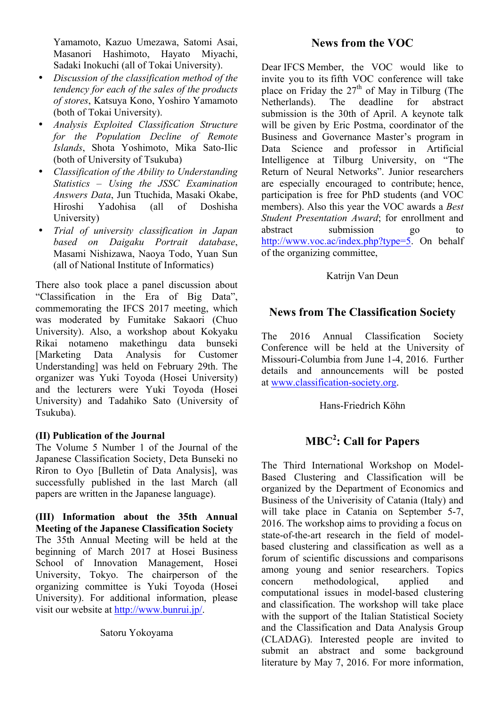Yamamoto, Kazuo Umezawa, Satomi Asai, Masanori Hashimoto, Hayato Miyachi, Sadaki Inokuchi (all of Tokai University).

- *Discussion of the classification method of the tendency for each of the sales of the products of stores*, Katsuya Kono, Yoshiro Yamamoto (both of Tokai University).
- *Analysis Exploited Classification Structure for the Population Decline of Remote Islands*, Shota Yoshimoto, Mika Sato-Ilic (both of University of Tsukuba)
- *Classification of the Ability to Understanding Statistics – Using the JSSC Examination Answers Data*, Jun Ttuchida, Masaki Okabe, Hiroshi Yadohisa (all of Doshisha University)
- *Trial of university classification in Japan based on Daigaku Portrait database*, Masami Nishizawa, Naoya Todo, Yuan Sun (all of National Institute of Informatics)

There also took place a panel discussion about "Classification in the Era of Big Data", commemorating the IFCS 2017 meeting, which was moderated by Fumitake Sakaori (Chuo University). Also, a workshop about Kokyaku Rikai notameno makethingu data bunseki [Marketing Data Analysis for Customer Understanding] was held on February 29th. The organizer was Yuki Toyoda (Hosei University) and the lecturers were Yuki Toyoda (Hosei University) and Tadahiko Sato (University of Tsukuba).

#### **(II) Publication of the Journal**

The Volume 5 Number 1 of the Journal of the Japanese Classification Society, Deta Bunseki no Riron to Oyo [Bulletin of Data Analysis], was successfully published in the last March (all papers are written in the Japanese language).

**(III) Information about the 35th Annual Meeting of the Japanese Classification Society**  The 35th Annual Meeting will be held at the beginning of March 2017 at Hosei Business School of Innovation Management, Hosei University, Tokyo. The chairperson of the organizing committee is Yuki Toyoda (Hosei University). For additional information, please visit our website at http://www.bunrui.jp/.

### Satoru Yokoyama

### **News from the VOC**

Dear IFCS Member, the VOC would like to invite you to its fifth VOC conference will take place on Friday the  $27<sup>th</sup>$  of May in Tilburg (The Netherlands). The deadline for abstract submission is the 30th of April. A keynote talk will be given by Eric Postma, coordinator of the Business and Governance Master's program in Data Science and professor in Artificial Intelligence at Tilburg University, on "The Return of Neural Networks". Junior researchers are especially encouraged to contribute; hence, participation is free for PhD students (and VOC members). Also this year the VOC awards a *Best Student Presentation Award*; for enrollment and abstract submission go to http://www.voc.ac/index.php?type=5. On behalf of the organizing committee,

#### Katrijn Van Deun

### **News from The Classification Society**

The 2016 Annual Classification Society Conference will be held at the University of Missouri-Columbia from June 1-4, 2016. Further details and announcements will be posted at www.classification-society.org.

#### Hans-Friedrich Köhn

# **MBC<sup>2</sup> : Call for Papers**

The Third International Workshop on Model-Based Clustering and Classification will be organized by the Department of Economics and Business of the Univerisity of Catania (Italy) and will take place in Catania on September 5-7, 2016. The workshop aims to providing a focus on state-of-the-art research in the field of modelbased clustering and classification as well as a forum of scientific discussions and comparisons among young and senior researchers. Topics concern methodological, applied and computational issues in model-based clustering and classification. The workshop will take place with the support of the Italian Statistical Society and the Classification and Data Analysis Group (CLADAG). Interested people are invited to submit an abstract and some background literature by May 7, 2016. For more information,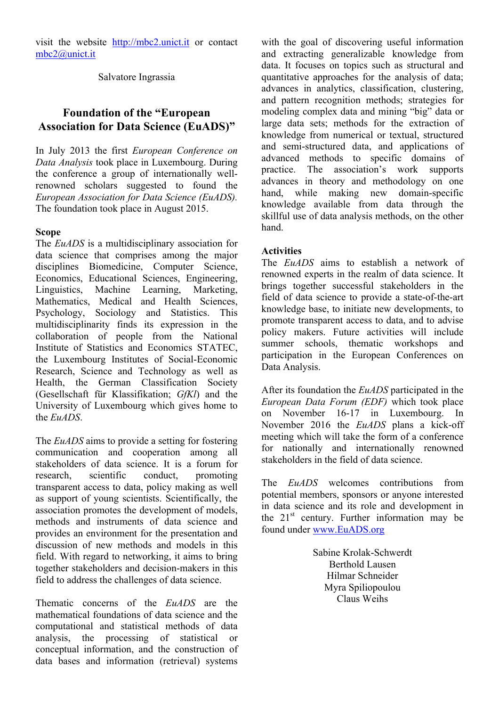visit the website http://mbc2.unict.it or contact mbc2@unict.it

Salvatore Ingrassia

# **Foundation of the "European Association for Data Science (EuADS)"**

In July 2013 the first *European Conference on Data Analysis* took place in Luxembourg. During the conference a group of internationally wellrenowned scholars suggested to found the *European Association for Data Science (EuADS).* The foundation took place in August 2015.

#### **Scope**

The *EuADS* is a multidisciplinary association for data science that comprises among the major disciplines Biomedicine, Computer Science, Economics, Educational Sciences, Engineering, Linguistics, Machine Learning, Marketing, Mathematics, Medical and Health Sciences, Psychology, Sociology and Statistics. This multidisciplinarity finds its expression in the collaboration of people from the National Institute of Statistics and Economics STATEC, the Luxembourg Institutes of Social-Economic Research, Science and Technology as well as Health, the German Classification Society (Gesellschaft für Klassifikation; *GfKl*) and the University of Luxembourg which gives home to the *EuADS*.

The *EuADS* aims to provide a setting for fostering communication and cooperation among all stakeholders of data science. It is a forum for research scientific conduct promoting transparent access to data, policy making as well as support of young scientists. Scientifically, the association promotes the development of models, methods and instruments of data science and provides an environment for the presentation and discussion of new methods and models in this field. With regard to networking, it aims to bring together stakeholders and decision-makers in this field to address the challenges of data science.

Thematic concerns of the *EuADS* are the mathematical foundations of data science and the computational and statistical methods of data analysis, the processing of statistical or conceptual information, and the construction of data bases and information (retrieval) systems

with the goal of discovering useful information and extracting generalizable knowledge from data. It focuses on topics such as structural and quantitative approaches for the analysis of data; advances in analytics, classification, clustering, and pattern recognition methods; strategies for modeling complex data and mining "big" data or large data sets; methods for the extraction of knowledge from numerical or textual, structured and semi-structured data, and applications of advanced methods to specific domains of practice. The association's work supports advances in theory and methodology on one hand, while making new domain-specific knowledge available from data through the skillful use of data analysis methods, on the other hand.

#### **Activities**

The *EuADS* aims to establish a network of renowned experts in the realm of data science. It brings together successful stakeholders in the field of data science to provide a state-of-the-art knowledge base, to initiate new developments, to promote transparent access to data, and to advise policy makers. Future activities will include summer schools, thematic workshops and participation in the European Conferences on Data Analysis.

After its foundation the *EuADS* participated in the *European Data Forum (EDF)* which took place on November 16-17 in Luxembourg. In November 2016 the *EuADS* plans a kick-off meeting which will take the form of a conference for nationally and internationally renowned stakeholders in the field of data science.

The *EuADS* welcomes contributions from potential members, sponsors or anyone interested in data science and its role and development in the  $21<sup>st</sup>$  century. Further information may be found under www.EuADS.org

> Sabine Krolak-Schwerdt Berthold Lausen Hilmar Schneider Myra Spiliopoulou Claus Weihs